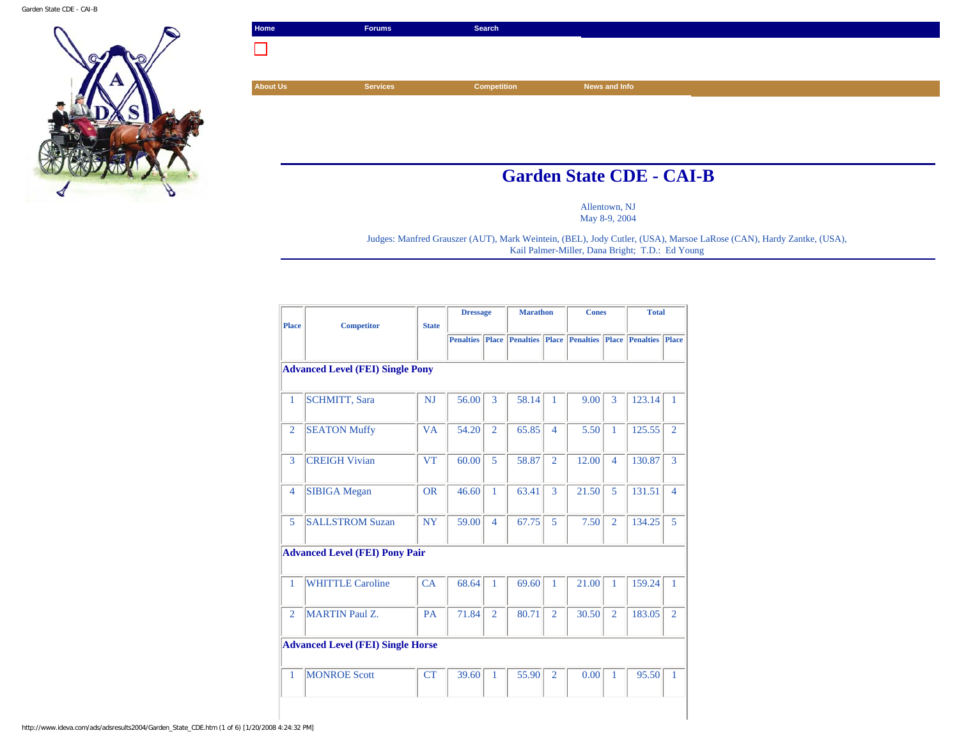Garden State CDE - CAI-B



| Home            | <b>Forums</b>   | Search             |                                 |  |
|-----------------|-----------------|--------------------|---------------------------------|--|
|                 |                 |                    |                                 |  |
|                 |                 |                    |                                 |  |
| <b>About Us</b> | <b>Services</b> | <b>Competition</b> | News and Info                   |  |
|                 |                 |                    |                                 |  |
|                 |                 |                    |                                 |  |
|                 |                 |                    |                                 |  |
|                 |                 |                    |                                 |  |
|                 |                 |                    | <b>Garden State CDE - CAI-B</b> |  |

Allentown, NJ May 8-9, 2004

Judges: Manfred Grauszer (AUT), Mark Weintein, (BEL), Jody Cutler, (USA), Marsoe LaRose (CAN), Hardy Zantke, (USA), Kail Palmer-Miller, Dana Bright; T.D.: Ed Young

| <b>Place</b>   | <b>Competitor</b>                        | <b>State</b> | <b>Dressage</b>  |                | <b>Marathon</b>                                              |                | <b>Cones</b> |                | <b>Total</b> |                |
|----------------|------------------------------------------|--------------|------------------|----------------|--------------------------------------------------------------|----------------|--------------|----------------|--------------|----------------|
|                |                                          |              | <b>Penalties</b> |                | <b>Place Penalties Place Penalties Place Penalties Place</b> |                |              |                |              |                |
|                | <b>Advanced Level (FEI) Single Pony</b>  |              |                  |                |                                                              |                |              |                |              |                |
| 1              | <b>SCHMITT</b> , Sara                    | <b>NJ</b>    | 56.00            | 3              | 58.14                                                        | 1              | 9.00         | 3              | 123.14       | $\mathbf{1}$   |
| $\overline{2}$ | <b>SEATON Muffy</b>                      | <b>VA</b>    | 54.20            | $\overline{2}$ | 65.85                                                        | $\overline{4}$ | 5.50         | 1              | 125.55       | $\overline{2}$ |
| 3              | <b>CREIGH Vivian</b>                     | <b>VT</b>    | 60.00            | 5              | 58.87                                                        | $\overline{2}$ | 12.00        | $\overline{4}$ | 130.87       | 3              |
| 4              | <b>SIBIGA</b> Megan                      | <b>OR</b>    | 46.60            | $\mathbf{1}$   | 63.41                                                        | 3              | 21.50        | 5              | 131.51       | $\overline{4}$ |
| 5              | <b>SALLSTROM Suzan</b>                   | <b>NY</b>    | 59.00            | $\overline{4}$ | 67.75                                                        | 5              | 7.50         | $\overline{2}$ | 134.25       | 5              |
|                | <b>Advanced Level (FEI) Pony Pair</b>    |              |                  |                |                                                              |                |              |                |              |                |
| 1              | <b>WHITTLE Caroline</b>                  | CA           | 68.64            | 1              | 69.60                                                        | 1              | 21.00        | 1              | 159.24       | $\mathbf{1}$   |
| $\overline{2}$ | <b>MARTIN Paul Z.</b>                    | <b>PA</b>    | 71.84            | $\overline{2}$ | 80.71                                                        | $\overline{2}$ | 30.50        | $\overline{2}$ | 183.05       | $\overline{2}$ |
|                | <b>Advanced Level (FEI) Single Horse</b> |              |                  |                |                                                              |                |              |                |              |                |
|                | <b>MONROE Scott</b>                      | CT           | 39.60            | 1              | 55.90                                                        | $\overline{2}$ | 0.00         | 1              | 95.50        | $\mathbf{1}$   |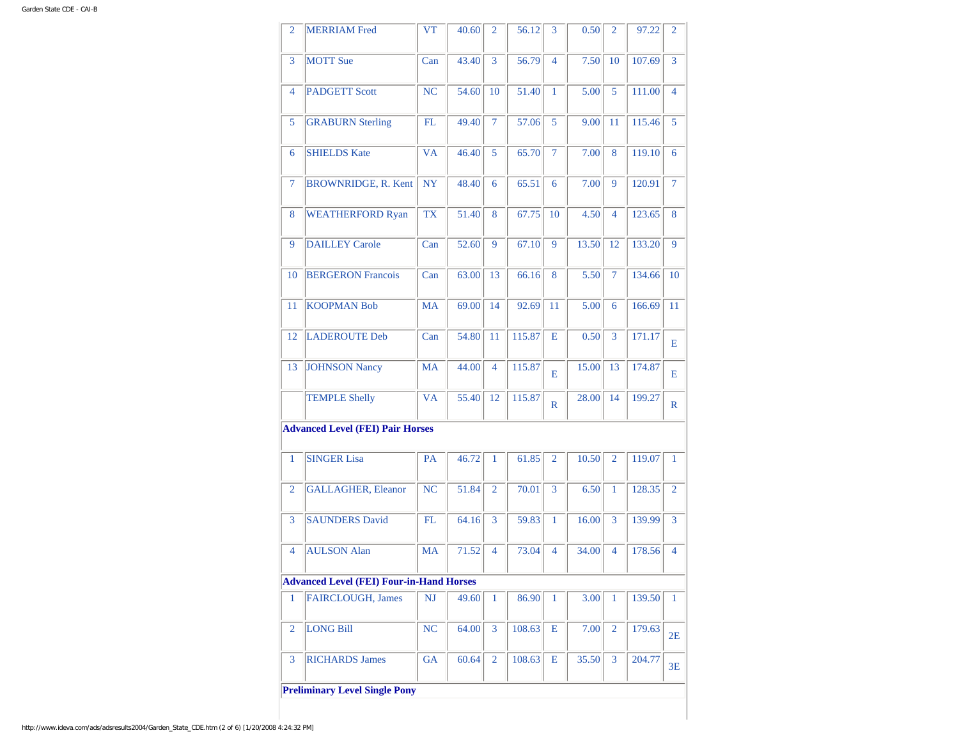| 2              | <b>MERRIAM</b> Fred                             | <b>VT</b> | 40.60 | $\overline{2}$ | 56.12  | 3              | 0.50  | $\overline{2}$ | 97.22  | $\overline{2}$ |
|----------------|-------------------------------------------------|-----------|-------|----------------|--------|----------------|-------|----------------|--------|----------------|
| 3              | <b>MOTT</b> Sue                                 | Can       | 43.40 | $\overline{3}$ | 56.79  | $\overline{4}$ | 7.50  | 10             | 107.69 | 3              |
| 4              | <b>PADGETT Scott</b>                            | <b>NC</b> | 54.60 | 10             | 51.40  | 1              | 5.00  | 5              | 111.00 | $\overline{4}$ |
| 5              | <b>GRABURN Sterling</b>                         | FL        | 49.40 | $\overline{7}$ | 57.06  | 5              | 9.00  | 11             | 115.46 | 5              |
| 6              | <b>SHIELDS Kate</b>                             | <b>VA</b> | 46.40 | 5              | 65.70  | $\overline{7}$ | 7.00  | 8              | 119.10 | 6              |
| 7              | <b>BROWNRIDGE, R. Kent</b>                      | <b>NY</b> | 48.40 | 6              | 65.51  | 6              | 7.00  | 9              | 120.91 | $\tau$         |
| 8              | <b>WEATHERFORD Ryan</b>                         | <b>TX</b> | 51.40 | 8              | 67.75  | 10             | 4.50  | $\overline{4}$ | 123.65 | 8              |
| 9              | <b>DAILLEY Carole</b>                           | Can       | 52.60 | 9              | 67.10  | 9              | 13.50 | 12             | 133.20 | 9              |
| 10             | <b>BERGERON Francois</b>                        | Can       | 63.00 | 13             | 66.16  | 8              | 5.50  | $\tau$         | 134.66 | 10             |
| 11             | <b>KOOPMAN Bob</b>                              | <b>MA</b> | 69.00 | 14             | 92.69  | 11             | 5.00  | 6              | 166.69 | 11             |
| 12             | <b>LADEROUTE Deb</b>                            | Can       | 54.80 | 11             | 115.87 | Е              | 0.50  | 3              | 171.17 | Е              |
| 13             | <b>JOHNSON Nancy</b>                            | <b>MA</b> | 44.00 | $\overline{4}$ | 115.87 | Е              | 15.00 | 13             | 174.87 | E              |
|                | <b>TEMPLE Shelly</b>                            | <b>VA</b> | 55.40 | 12             | 115.87 | $\mathbb{R}$   | 28.00 | 14             | 199.27 | $\mathbb{R}$   |
|                | <b>Advanced Level (FEI) Pair Horses</b>         |           |       |                |        |                |       |                |        |                |
| 1              | <b>SINGER Lisa</b>                              | PA        | 46.72 | 1              | 61.85  | $\overline{2}$ | 10.50 | $\overline{2}$ | 119.07 | 1              |
| $\overline{2}$ | <b>GALLAGHER, Eleanor</b>                       | <b>NC</b> | 51.84 | $\overline{2}$ | 70.01  | 3              | 6.50  | 1              | 128.35 | $\overline{2}$ |
| 3              | <b>SAUNDERS David</b>                           | FL.       | 64.16 | 3              | 59.83  | 1              | 16.00 | 3              | 139.99 | 3              |
| $\overline{4}$ | <b>AULSON Alan</b>                              | <b>MA</b> | 71.52 | $\overline{4}$ | 73.04  | $\overline{4}$ | 34.00 | 4              | 178.56 | $\overline{4}$ |
|                | <b>Advanced Level (FEI) Four-in-Hand Horses</b> |           |       |                |        |                |       |                |        |                |
| 1              | <b>FAIRCLOUGH, James</b>                        | NJ        | 49.60 | 1              | 86.90  | $\mathbf{1}$   | 3.00  | $\mathbf{1}$   | 139.50 | $\mathbf{1}$   |
| $\overline{2}$ | <b>LONG Bill</b>                                | <b>NC</b> | 64.00 | $\overline{3}$ | 108.63 | Е              | 7.00  | $\overline{2}$ | 179.63 | 2E             |
| 3              | <b>RICHARDS James</b>                           | GA        | 60.64 | $\overline{2}$ | 108.63 | Е              | 35.50 | 3              | 204.77 | 3E             |
|                | <b>Preliminary Level Single Pony</b>            |           |       |                |        |                |       |                |        |                |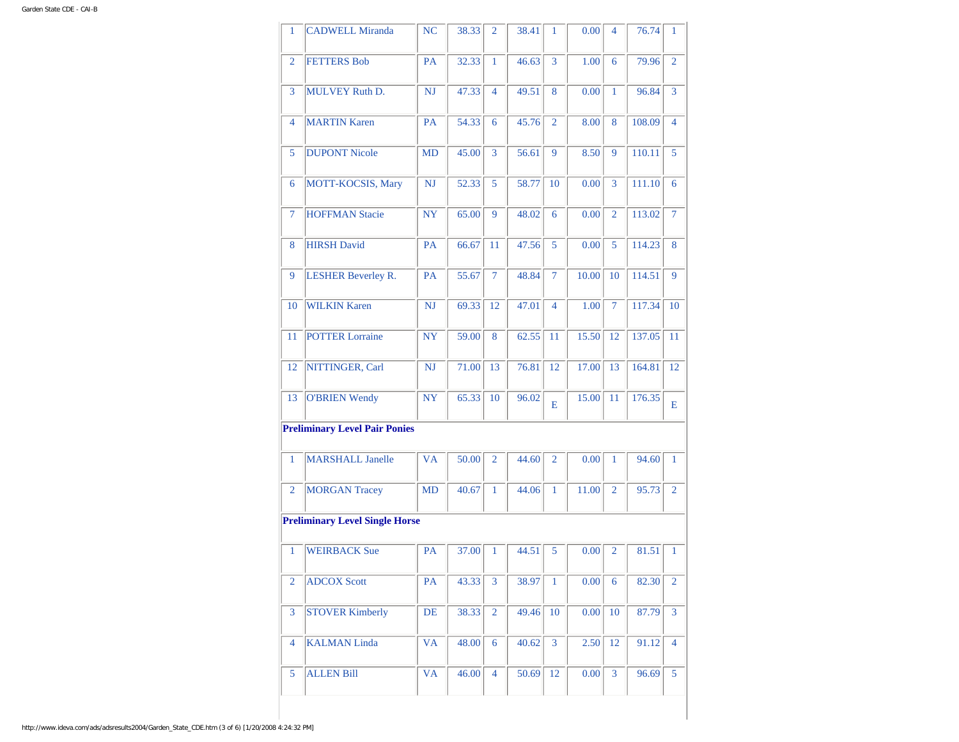| 1              | <b>CADWELL Miranda</b>                | NC        | 38.33 | 2              | 38.41 | 1              | 0.00  | 4              | 76.74  | 1              |
|----------------|---------------------------------------|-----------|-------|----------------|-------|----------------|-------|----------------|--------|----------------|
| $\overline{2}$ | <b>FETTERS Bob</b>                    | <b>PA</b> | 32.33 | 1              | 46.63 | 3              | 1.00  | 6              | 79.96  | $\overline{2}$ |
| 3              | <b>MULVEY Ruth D.</b>                 | <b>NJ</b> | 47.33 | 4              | 49.51 | 8              | 0.00  | $\mathbf{1}$   | 96.84  | 3              |
| $\overline{4}$ | <b>MARTIN Karen</b>                   | PA        | 54.33 | 6              | 45.76 | $\overline{2}$ | 8.00  | 8              | 108.09 | $\overline{4}$ |
| 5              | <b>DUPONT Nicole</b>                  | MD        | 45.00 | $\overline{3}$ | 56.61 | 9              | 8.50  | 9              | 110.11 | 5              |
| 6              | MOTT-KOCSIS, Mary                     | NJ        | 52.33 | 5              | 58.77 | 10             | 0.00  | 3              | 111.10 | 6              |
| $\overline{7}$ | <b>HOFFMAN Stacie</b>                 | <b>NY</b> | 65.00 | 9              | 48.02 | 6              | 0.00  | $\overline{2}$ | 113.02 | $\tau$         |
| 8              | <b>HIRSH David</b>                    | <b>PA</b> | 66.67 | 11             | 47.56 | 5              | 0.00  | 5              | 114.23 | 8              |
| 9              | <b>LESHER Beverley R.</b>             | PA        | 55.67 | $\overline{7}$ | 48.84 | $\tau$         | 10.00 | 10             | 114.51 | 9              |
| 10             | <b>WILKIN Karen</b>                   | NJ        | 69.33 | 12             | 47.01 | $\overline{4}$ | 1.00  | $\overline{7}$ | 117.34 | 10             |
| 11             | <b>POTTER Lorraine</b>                | NY        | 59.00 | 8              | 62.55 | 11             | 15.50 | 12             | 137.05 | 11             |
| 12             | NITTINGER, Carl                       | <b>NJ</b> | 71.00 | 13             | 76.81 | 12             | 17.00 | 13             | 164.81 | 12             |
| 13             | <b>O'BRIEN Wendy</b>                  | <b>NY</b> | 65.33 | 10             | 96.02 | Е              | 15.00 | 11             | 176.35 | E              |
|                | <b>Preliminary Level Pair Ponies</b>  |           |       |                |       |                |       |                |        |                |
| 1              | <b>MARSHALL Janelle</b>               | <b>VA</b> | 50.00 | $\overline{2}$ | 44.60 | $\overline{2}$ | 0.00  | 1              | 94.60  | 1              |
| $\overline{2}$ | <b>MORGAN Tracey</b>                  | <b>MD</b> | 40.67 | 1              | 44.06 | 1              | 11.00 | $\overline{2}$ | 95.73  | $\overline{2}$ |
|                | <b>Preliminary Level Single Horse</b> |           |       |                |       |                |       |                |        |                |
| $\mathbf{1}$   | <b>WEIRBACK Sue</b>                   | <b>PA</b> | 37.00 | 1              | 44.51 | 5              | 0.00  | $\overline{2}$ | 81.51  | 1              |
| $\overline{2}$ | <b>ADCOX Scott</b>                    | PA        | 43.33 | 3              | 38.97 | 1              | 0.00  | 6              | 82.30  | $\overline{2}$ |
| 3              | <b>STOVER Kimberly</b>                | DE        | 38.33 | $\overline{2}$ | 49.46 | 10             | 0.00  | 10             | 87.79  | 3              |
| $\overline{4}$ | <b>KALMAN Linda</b>                   | <b>VA</b> | 48.00 | 6              | 40.62 | 3              | 2.50  | 12             | 91.12  | $\overline{4}$ |
| 5              | <b>ALLEN Bill</b>                     | VA        | 46.00 | 4              | 50.69 | 12             | 0.00  | 3              | 96.69  | 5              |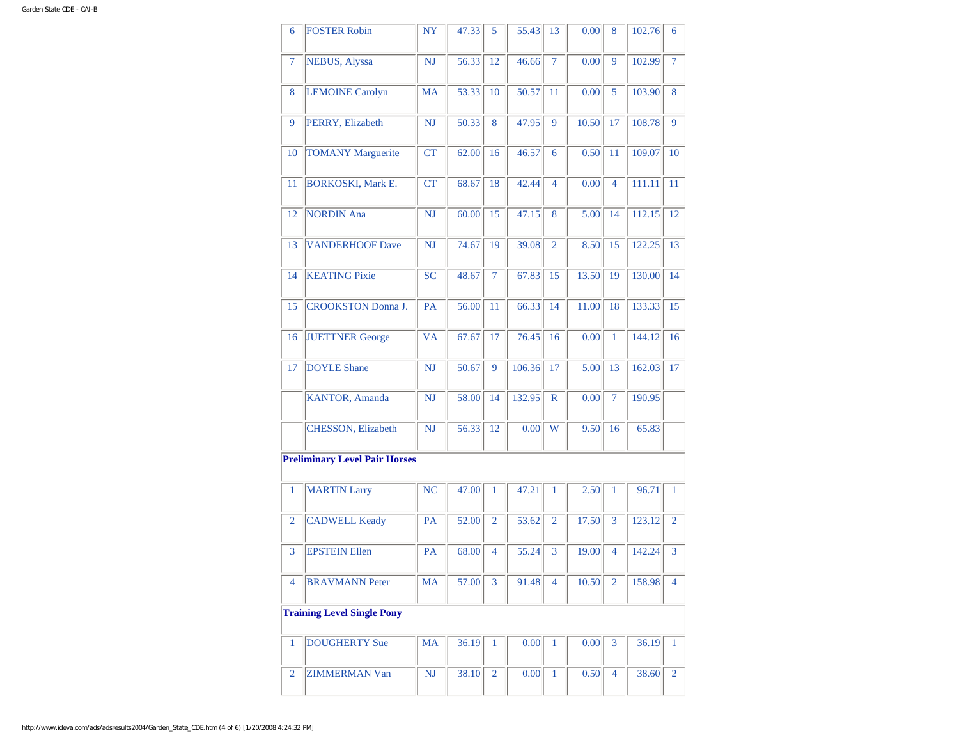| 6              | <b>FOSTER Robin</b>                  | <b>NY</b> | 47.33 | 5              | 55.43  | 13             | 0.00  | 8              | 102.76 | 6              |
|----------------|--------------------------------------|-----------|-------|----------------|--------|----------------|-------|----------------|--------|----------------|
| $\overline{7}$ | <b>NEBUS, Alyssa</b>                 | <b>NJ</b> | 56.33 | 12             | 46.66  | $\overline{7}$ | 0.00  | 9              | 102.99 | $\overline{7}$ |
| 8              | <b>LEMOINE Carolyn</b>               | <b>MA</b> | 53.33 | 10             | 50.57  | 11             | 0.00  | 5              | 103.90 | 8              |
| 9              | PERRY, Elizabeth                     | <b>NJ</b> | 50.33 | 8              | 47.95  | 9              | 10.50 | 17             | 108.78 | 9              |
| 10             | <b>TOMANY Marguerite</b>             | CT        | 62.00 | 16             | 46.57  | 6              | 0.50  | 11             | 109.07 | 10             |
| 11             | <b>BORKOSKI, Mark E.</b>             | <b>CT</b> | 68.67 | 18             | 42.44  | $\overline{4}$ | 0.00  | 4              | 111.11 | 11             |
| 12             | <b>NORDIN</b> Ana                    | <b>NJ</b> | 60.00 | 15             | 47.15  | 8              | 5.00  | 14             | 112.15 | 12             |
| 13             | <b>VANDERHOOF Dave</b>               | <b>NJ</b> | 74.67 | 19             | 39.08  | $\overline{2}$ | 8.50  | 15             | 122.25 | 13             |
| 14             | <b>KEATING Pixie</b>                 | <b>SC</b> | 48.67 | $\overline{7}$ | 67.83  | 15             | 13.50 | 19             | 130.00 | 14             |
| 15             | <b>CROOKSTON</b> Donna J.            | PA        | 56.00 | 11             | 66.33  | 14             | 11.00 | 18             | 133.33 | 15             |
| 16             | <b>JUETTNER</b> George               | <b>VA</b> | 67.67 | 17             | 76.45  | 16             | 0.00  | $\mathbf{1}$   | 144.12 | 16             |
| 17             | <b>DOYLE Shane</b>                   | <b>NJ</b> | 50.67 | 9              | 106.36 | 17             | 5.00  | 13             | 162.03 | 17             |
|                | KANTOR, Amanda                       | NJ        | 58.00 | 14             | 132.95 | $\mathbb{R}$   | 0.00  | 7              | 190.95 |                |
|                | CHESSON, Elizabeth                   | <b>NJ</b> | 56.33 | 12             | 0.00   | W              | 9.50  | 16             | 65.83  |                |
|                | <b>Preliminary Level Pair Horses</b> |           |       |                |        |                |       |                |        |                |
| $\mathbf{1}$   | <b>MARTIN Larry</b>                  | <b>NC</b> | 47.00 | $\mathbf{1}$   | 47.21  | 1              | 2.50  | 1              | 96.71  | $\mathbf{1}$   |
| $\overline{2}$ | <b>CADWELL Keady</b>                 | PA        | 52.00 | $\overline{2}$ | 53.62  | $\overline{2}$ | 17.50 | 3              | 123.12 | $\overline{2}$ |
| 3              | <b>EPSTEIN Ellen</b>                 | PA        | 68.00 | 4              | 55.24  | 3              | 19.00 | $\overline{4}$ | 142.24 | 3              |
| $\overline{4}$ | <b>BRAVMANN Peter</b>                | MA        | 57.00 | 3              | 91.48  | 4              | 10.50 | $\overline{2}$ | 158.98 | $\overline{4}$ |
|                | <b>Training Level Single Pony</b>    |           |       |                |        |                |       |                |        |                |
| $\mathbf{1}$   | <b>DOUGHERTY Sue</b>                 | <b>MA</b> | 36.19 | 1              | 0.00   | $\mathbf{1}$   | 0.00  | 3              | 36.19  | 1              |
| $\overline{2}$ | <b>ZIMMERMAN Van</b>                 | NJ        | 38.10 | 2              | 0.00   | 1              | 0.50  | 4              | 38.60  | $\overline{2}$ |
|                |                                      |           |       |                |        |                |       |                |        |                |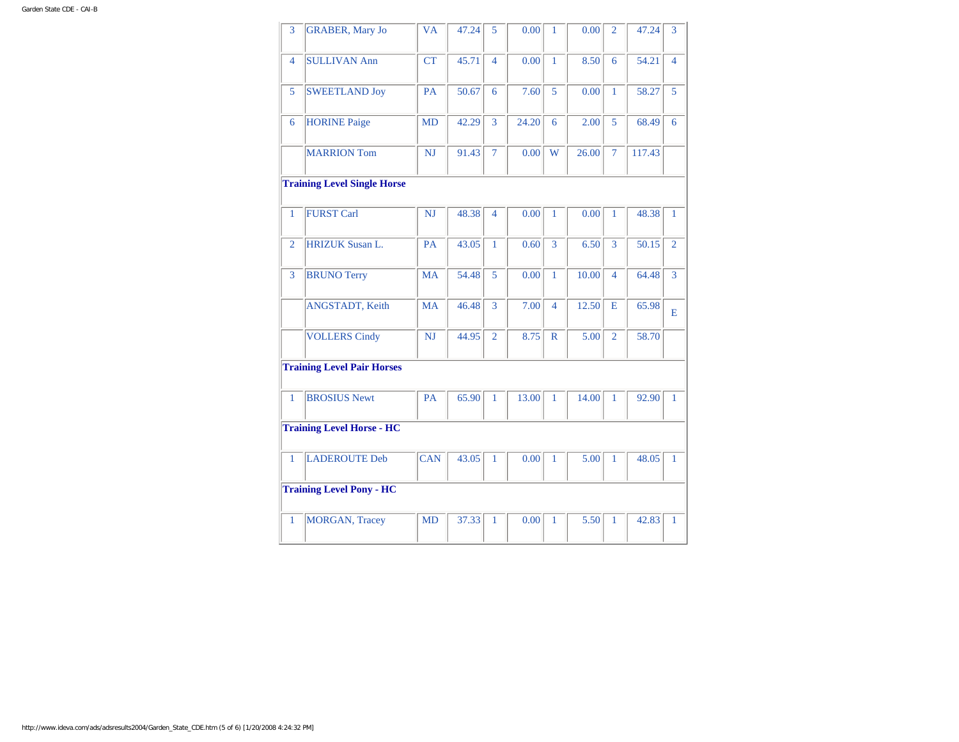| <b>GRABER, Mary Jo</b>          | <b>VA</b>                                                             | 47.24                              | 5              | 0.00  | $\mathbf{1}$ | 0.00  | $\overline{2}$ | 47.24  | 3              |
|---------------------------------|-----------------------------------------------------------------------|------------------------------------|----------------|-------|--------------|-------|----------------|--------|----------------|
| <b>SULLIVAN Ann</b>             | <b>CT</b>                                                             | 45.71                              | $\overline{4}$ | 0.00  | $\mathbf{1}$ | 8.50  | 6              | 54.21  | $\overline{4}$ |
| <b>SWEETLAND Joy</b>            | PA                                                                    | 50.67                              | 6              | 7.60  | 5            | 0.00  | $\mathbf{1}$   | 58.27  | 5              |
| <b>HORINE Paige</b>             | <b>MD</b>                                                             | 42.29                              | 3              | 24.20 | 6            | 2.00  | 5              | 68.49  | 6              |
| <b>MARRION Tom</b>              | <b>NJ</b>                                                             | 91.43                              | $\overline{7}$ | 0.00  | W            | 26.00 | $\overline{7}$ | 117.43 |                |
|                                 |                                                                       |                                    |                |       |              |       |                |        |                |
| <b>FURST Carl</b>               | <b>NJ</b>                                                             | 48.38                              | 4              | 0.00  | 1            | 0.00  | 1              | 48.38  | 1              |
| <b>HRIZUK</b> Susan L.          | PA                                                                    | 43.05                              | $\mathbf{1}$   | 0.60  | 3            | 6.50  | 3              | 50.15  | $\overline{2}$ |
| <b>BRUNO Terry</b>              | <b>MA</b>                                                             | 54.48                              | 5              | 0.00  | $\mathbf{1}$ | 10.00 | $\overline{4}$ | 64.48  | 3              |
| ANGSTADT, Keith                 | <b>MA</b>                                                             | 46.48                              | 3              | 7.00  | 4            | 12.50 | E              | 65.98  | E              |
| <b>VOLLERS Cindy</b>            | <b>NJ</b>                                                             | 44.95                              | $\overline{2}$ | 8.75  | $\mathbb{R}$ | 5.00  | $\overline{2}$ | 58.70  |                |
|                                 |                                                                       |                                    |                |       |              |       |                |        |                |
| <b>BROSIUS Newt</b>             | <b>PA</b>                                                             | 65.90                              | 1              | 13.00 | 1            | 14.00 | 1              | 92.90  | 1              |
|                                 |                                                                       |                                    |                |       |              |       |                |        |                |
| <b>LADEROUTE Deb</b>            | <b>CAN</b>                                                            | 43.05                              | $\mathbf{1}$   | 0.00  | $\mathbf{1}$ | 5.00  | 1              | 48.05  | $\mathbf{1}$   |
|                                 |                                                                       |                                    |                |       |              |       |                |        |                |
| <b>Training Level Pony - HC</b> |                                                                       |                                    |                |       |              |       |                |        |                |
|                                 | <b>Training Level Pair Horses</b><br><b>Training Level Horse - HC</b> | <b>Training Level Single Horse</b> |                |       |              |       |                |        |                |